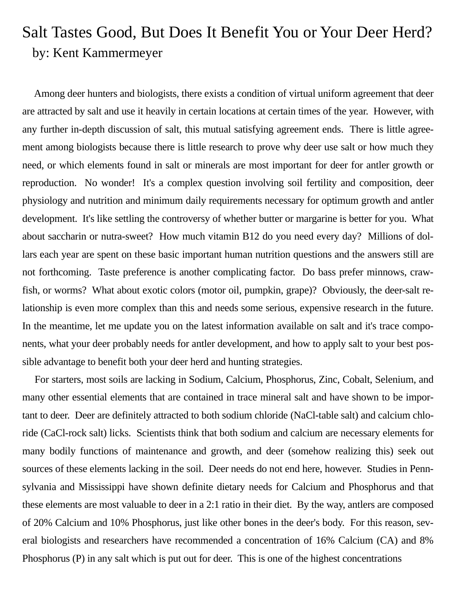## Salt Tastes Good, But Does It Benefit You or Your Deer Herd? by: Kent Kammermeyer

 Among deer hunters and biologists, there exists a condition of virtual uniform agreement that deer are attracted by salt and use it heavily in certain locations at certain times of the year. However, with any further in-depth discussion of salt, this mutual satisfying agreement ends. There is little agreement among biologists because there is little research to prove why deer use salt or how much they need, or which elements found in salt or minerals are most important for deer for antler growth or reproduction. No wonder! It's a complex question involving soil fertility and composition, deer physiology and nutrition and minimum daily requirements necessary for optimum growth and antler development. It's like settling the controversy of whether butter or margarine is better for you. What about saccharin or nutra-sweet? How much vitamin B12 do you need every day? Millions of dollars each year are spent on these basic important human nutrition questions and the answers still are not forthcoming. Taste preference is another complicating factor. Do bass prefer minnows, crawfish, or worms? What about exotic colors (motor oil, pumpkin, grape)? Obviously, the deer-salt relationship is even more complex than this and needs some serious, expensive research in the future. In the meantime, let me update you on the latest information available on salt and it's trace components, what your deer probably needs for antler development, and how to apply salt to your best possible advantage to benefit both your deer herd and hunting strategies.

 For starters, most soils are lacking in Sodium, Calcium, Phosphorus, Zinc, Cobalt, Selenium, and many other essential elements that are contained in trace mineral salt and have shown to be important to deer. Deer are definitely attracted to both sodium chloride (NaCl-table salt) and calcium chloride (CaCl-rock salt) licks. Scientists think that both sodium and calcium are necessary elements for many bodily functions of maintenance and growth, and deer (somehow realizing this) seek out sources of these elements lacking in the soil. Deer needs do not end here, however. Studies in Pennsylvania and Mississippi have shown definite dietary needs for Calcium and Phosphorus and that these elements are most valuable to deer in a 2:1 ratio in their diet. By the way, antlers are composed of 20% Calcium and 10% Phosphorus, just like other bones in the deer's body. For this reason, several biologists and researchers have recommended a concentration of 16% Calcium (CA) and 8% Phosphorus (P) in any salt which is put out for deer. This is one of the highest concentrations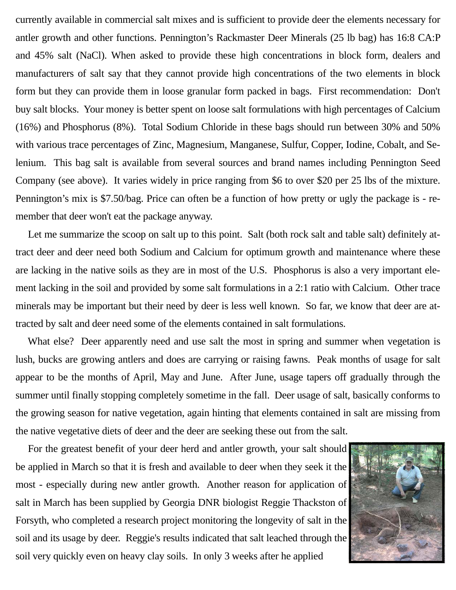currently available in commercial salt mixes and is sufficient to provide deer the elements necessary for antler growth and other functions. Pennington's Rackmaster Deer Minerals (25 lb bag) has 16:8 CA:P and 45% salt (NaCl). When asked to provide these high concentrations in block form, dealers and manufacturers of salt say that they cannot provide high concentrations of the two elements in block form but they can provide them in loose granular form packed in bags. First recommendation: Don't buy salt blocks. Your money is better spent on loose salt formulations with high percentages of Calcium (16%) and Phosphorus (8%). Total Sodium Chloride in these bags should run between 30% and 50% with various trace percentages of Zinc, Magnesium, Manganese, Sulfur, Copper, Iodine, Cobalt, and Selenium. This bag salt is available from several sources and brand names including Pennington Seed Company (see above). It varies widely in price ranging from \$6 to over \$20 per 25 lbs of the mixture. Pennington's mix is \$7.50/bag. Price can often be a function of how pretty or ugly the package is - remember that deer won't eat the package anyway.

 Let me summarize the scoop on salt up to this point. Salt (both rock salt and table salt) definitely attract deer and deer need both Sodium and Calcium for optimum growth and maintenance where these are lacking in the native soils as they are in most of the U.S. Phosphorus is also a very important element lacking in the soil and provided by some salt formulations in a 2:1 ratio with Calcium. Other trace minerals may be important but their need by deer is less well known. So far, we know that deer are attracted by salt and deer need some of the elements contained in salt formulations.

What else? Deer apparently need and use salt the most in spring and summer when vegetation is lush, bucks are growing antlers and does are carrying or raising fawns. Peak months of usage for salt appear to be the months of April, May and June. After June, usage tapers off gradually through the summer until finally stopping completely sometime in the fall. Deer usage of salt, basically conforms to the growing season for native vegetation, again hinting that elements contained in salt are missing from the native vegetative diets of deer and the deer are seeking these out from the salt.

 For the greatest benefit of your deer herd and antler growth, your salt should be applied in March so that it is fresh and available to deer when they seek it the most - especially during new antler growth. Another reason for application of salt in March has been supplied by Georgia DNR biologist Reggie Thackston of Forsyth, who completed a research project monitoring the longevity of salt in the soil and its usage by deer. Reggie's results indicated that salt leached through the soil very quickly even on heavy clay soils. In only 3 weeks after he applied

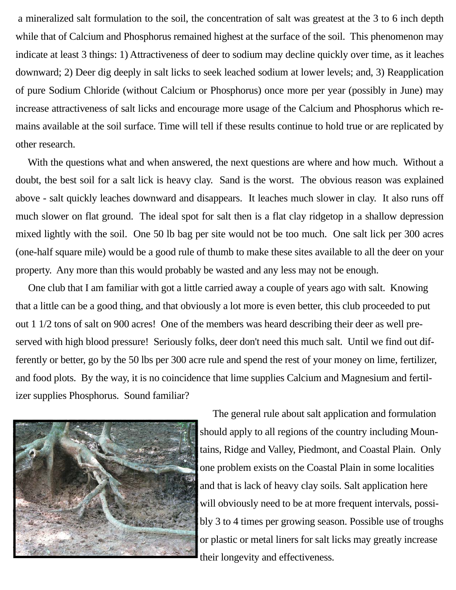a mineralized salt formulation to the soil, the concentration of salt was greatest at the 3 to 6 inch depth while that of Calcium and Phosphorus remained highest at the surface of the soil. This phenomenon may indicate at least 3 things: 1) Attractiveness of deer to sodium may decline quickly over time, as it leaches downward; 2) Deer dig deeply in salt licks to seek leached sodium at lower levels; and, 3) Reapplication of pure Sodium Chloride (without Calcium or Phosphorus) once more per year (possibly in June) may increase attractiveness of salt licks and encourage more usage of the Calcium and Phosphorus which remains available at the soil surface. Time will tell if these results continue to hold true or are replicated by other research.

 With the questions what and when answered, the next questions are where and how much. Without a doubt, the best soil for a salt lick is heavy clay. Sand is the worst. The obvious reason was explained above - salt quickly leaches downward and disappears. It leaches much slower in clay. It also runs off much slower on flat ground. The ideal spot for salt then is a flat clay ridgetop in a shallow depression mixed lightly with the soil. One 50 lb bag per site would not be too much. One salt lick per 300 acres (one-half square mile) would be a good rule of thumb to make these sites available to all the deer on your property. Any more than this would probably be wasted and any less may not be enough.

 One club that I am familiar with got a little carried away a couple of years ago with salt. Knowing that a little can be a good thing, and that obviously a lot more is even better, this club proceeded to put out 1 1/2 tons of salt on 900 acres! One of the members was heard describing their deer as well preserved with high blood pressure! Seriously folks, deer don't need this much salt. Until we find out differently or better, go by the 50 lbs per 300 acre rule and spend the rest of your money on lime, fertilizer, and food plots. By the way, it is no coincidence that lime supplies Calcium and Magnesium and fertilizer supplies Phosphorus. Sound familiar?



 The general rule about salt application and formulation should apply to all regions of the country including Mountains, Ridge and Valley, Piedmont, and Coastal Plain. Only one problem exists on the Coastal Plain in some localities and that is lack of heavy clay soils. Salt application here will obviously need to be at more frequent intervals, possibly 3 to 4 times per growing season. Possible use of troughs or plastic or metal liners for salt licks may greatly increase their longevity and effectiveness.